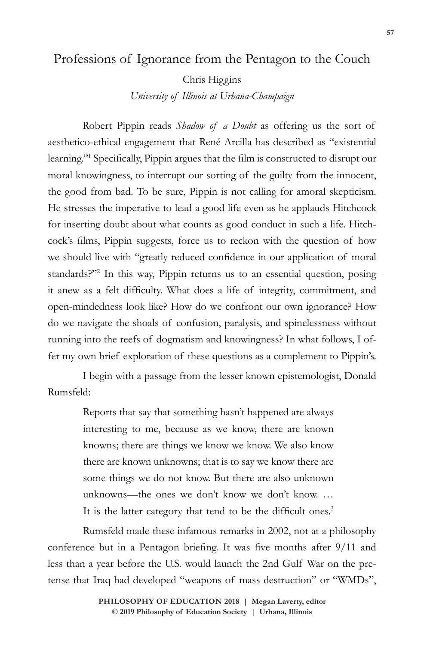## Professions of Ignorance from the Pentagon to the Couch

Chris Higgins

*University of Illinois at Urbana-Champaign*

Robert Pippin reads *Shadow of a Doubt* as offering us the sort of aesthetico-ethical engagement that René Arcilla has described as "existential learning."1 Specifically, Pippin argues that the film is constructed to disrupt our moral knowingness, to interrupt our sorting of the guilty from the innocent, the good from bad. To be sure, Pippin is not calling for amoral skepticism. He stresses the imperative to lead a good life even as he applauds Hitchcock for inserting doubt about what counts as good conduct in such a life. Hitchcock's films, Pippin suggests, force us to reckon with the question of how we should live with "greatly reduced confidence in our application of moral standards?"<sup>2</sup> In this way, Pippin returns us to an essential question, posing it anew as a felt difficulty. What does a life of integrity, commitment, and open-mindedness look like? How do we confront our own ignorance? How do we navigate the shoals of confusion, paralysis, and spinelessness without running into the reefs of dogmatism and knowingness? In what follows, I offer my own brief exploration of these questions as a complement to Pippin's.

I begin with a passage from the lesser known epistemologist, Donald Rumsfeld:

> Reports that say that something hasn't happened are always interesting to me, because as we know, there are known knowns; there are things we know we know. We also know there are known unknowns; that is to say we know there are some things we do not know. But there are also unknown unknowns—the ones we don't know we don't know. … It is the latter category that tend to be the difficult ones.<sup>3</sup>

Rumsfeld made these infamous remarks in 2002, not at a philosophy conference but in a Pentagon briefing. It was five months after 9/11 and less than a year before the U.S. would launch the 2nd Gulf War on the pretense that Iraq had developed "weapons of mass destruction" or "WMDs",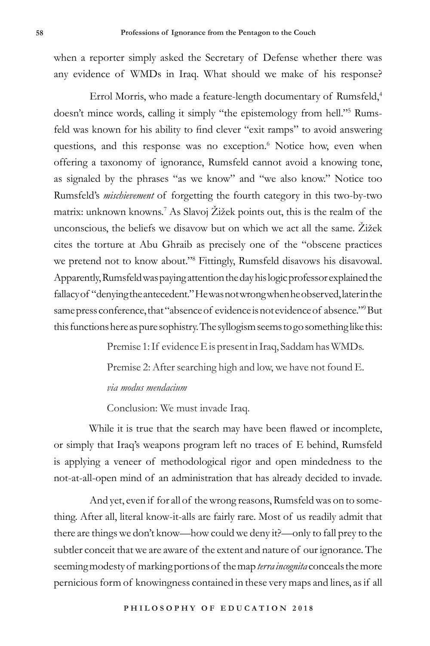when a reporter simply asked the Secretary of Defense whether there was any evidence of WMDs in Iraq. What should we make of his response?

Errol Morris, who made a feature-length documentary of Rumsfeld,<sup>4</sup> doesn't mince words, calling it simply "the epistemology from hell."<sup>5</sup> Rumsfeld was known for his ability to find clever "exit ramps" to avoid answering questions, and this response was no exception.<sup>6</sup> Notice how, even when offering a taxonomy of ignorance, Rumsfeld cannot avoid a knowing tone, as signaled by the phrases "as we know" and "we also know." Notice too Rumsfeld's *mischievement* of forgetting the fourth category in this two-by-two matrix: unknown knowns.7 As Slavoj Žižek points out, this is the realm of the unconscious, the beliefs we disavow but on which we act all the same. Žižek cites the torture at Abu Ghraib as precisely one of the "obscene practices we pretend not to know about."8 Fittingly, Rumsfeld disavows his disavowal. Apparently, Rumsfeld was paying attention the day his logic professor explained the fallacy of "denying the antecedent." He was not wrong when he observed, later in the same press conference, that "absence of evidence is not evidence of absence."<sup>9</sup>But this functions here as pure sophistry. The syllogism seems to go something like this:

Premise 1: If evidence E is present in Iraq, Saddam has WMDs.

Premise 2: After searching high and low, we have not found E.

## *via modus mendacium*

Conclusion: We must invade Iraq.

While it is true that the search may have been flawed or incomplete, or simply that Iraq's weapons program left no traces of E behind, Rumsfeld is applying a veneer of methodological rigor and open mindedness to the not-at-all-open mind of an administration that has already decided to invade.

And yet, even if for all of the wrong reasons, Rumsfeld was on to something. After all, literal know-it-alls are fairly rare. Most of us readily admit that there are things we don't know—how could we deny it?—only to fall prey to the subtler conceit that we are aware of the extent and nature of our ignorance. The seeming modesty of marking portions of the map *terra incognita* conceals the more pernicious form of knowingness contained in these very maps and lines, as if all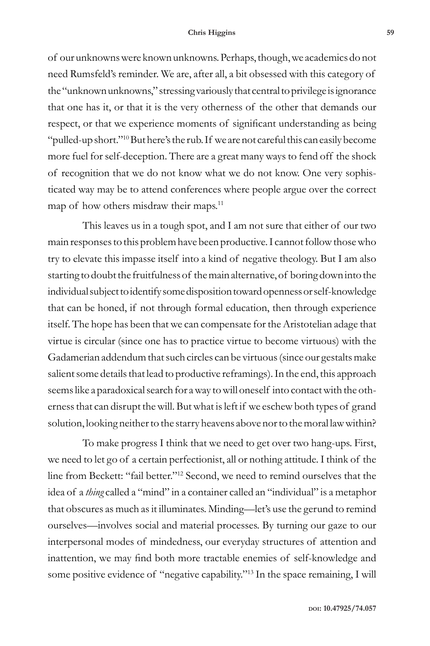## **Chris Higgins 59**

of our unknowns were known unknowns. Perhaps, though, we academics do not need Rumsfeld's reminder. We are, after all, a bit obsessed with this category of the "unknown unknowns," stressing variously that central to privilege is ignorance that one has it, or that it is the very otherness of the other that demands our respect, or that we experience moments of significant understanding as being "pulled-up short."10 But here's the rub. If we are not careful this can easily become more fuel for self-deception. There are a great many ways to fend off the shock of recognition that we do not know what we do not know. One very sophisticated way may be to attend conferences where people argue over the correct map of how others misdraw their maps.<sup>11</sup>

This leaves us in a tough spot, and I am not sure that either of our two main responses to this problem have been productive. I cannot follow those who try to elevate this impasse itself into a kind of negative theology. But I am also starting to doubt the fruitfulness of the main alternative, of boring down into the individual subject to identify some disposition toward openness or self-knowledge that can be honed, if not through formal education, then through experience itself. The hope has been that we can compensate for the Aristotelian adage that virtue is circular (since one has to practice virtue to become virtuous) with the Gadamerian addendum that such circles can be virtuous (since our gestalts make salient some details that lead to productive reframings). In the end, this approach seems like a paradoxical search for a way to will oneself into contact with the otherness that can disrupt the will. But what is left if we eschew both types of grand solution, looking neither to the starry heavens above nor to the moral law within?

To make progress I think that we need to get over two hang-ups. First, we need to let go of a certain perfectionist, all or nothing attitude. I think of the line from Beckett: "fail better."12 Second, we need to remind ourselves that the idea of a *thing* called a "mind" in a container called an "individual" is a metaphor that obscures as much as it illuminates. Minding—let's use the gerund to remind ourselves—involves social and material processes. By turning our gaze to our interpersonal modes of mindedness, our everyday structures of attention and inattention, we may find both more tractable enemies of self-knowledge and some positive evidence of "negative capability."13 In the space remaining, I will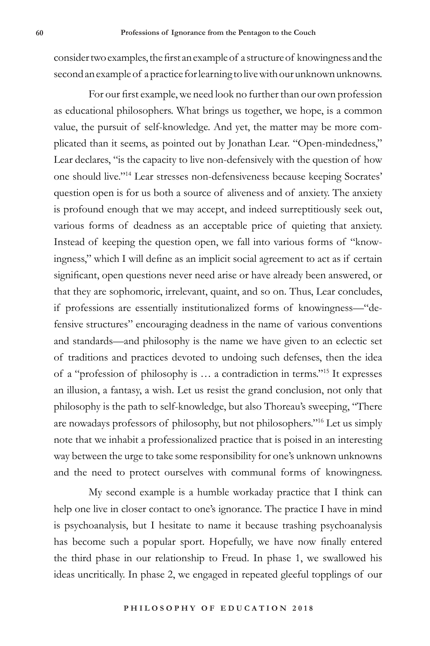consider two examples, the first an example of a structure of knowingness and the second an example of a practice for learning to live with our unknown unknowns.

For our first example, we need look no further than our own profession as educational philosophers. What brings us together, we hope, is a common value, the pursuit of self-knowledge. And yet, the matter may be more complicated than it seems, as pointed out by Jonathan Lear. "Open-mindedness," Lear declares, "is the capacity to live non-defensively with the question of how one should live."14 Lear stresses non-defensiveness because keeping Socrates' question open is for us both a source of aliveness and of anxiety. The anxiety is profound enough that we may accept, and indeed surreptitiously seek out, various forms of deadness as an acceptable price of quieting that anxiety. Instead of keeping the question open, we fall into various forms of "knowingness," which I will define as an implicit social agreement to act as if certain significant, open questions never need arise or have already been answered, or that they are sophomoric, irrelevant, quaint, and so on. Thus, Lear concludes, if professions are essentially institutionalized forms of knowingness—"defensive structures" encouraging deadness in the name of various conventions and standards—and philosophy is the name we have given to an eclectic set of traditions and practices devoted to undoing such defenses, then the idea of a "profession of philosophy is … a contradiction in terms."15 It expresses an illusion, a fantasy, a wish. Let us resist the grand conclusion, not only that philosophy is the path to self-knowledge, but also Thoreau's sweeping, "There are nowadays professors of philosophy, but not philosophers."<sup>16</sup> Let us simply note that we inhabit a professionalized practice that is poised in an interesting way between the urge to take some responsibility for one's unknown unknowns and the need to protect ourselves with communal forms of knowingness.

My second example is a humble workaday practice that I think can help one live in closer contact to one's ignorance. The practice I have in mind is psychoanalysis, but I hesitate to name it because trashing psychoanalysis has become such a popular sport. Hopefully, we have now finally entered the third phase in our relationship to Freud. In phase 1, we swallowed his ideas uncritically. In phase 2, we engaged in repeated gleeful topplings of our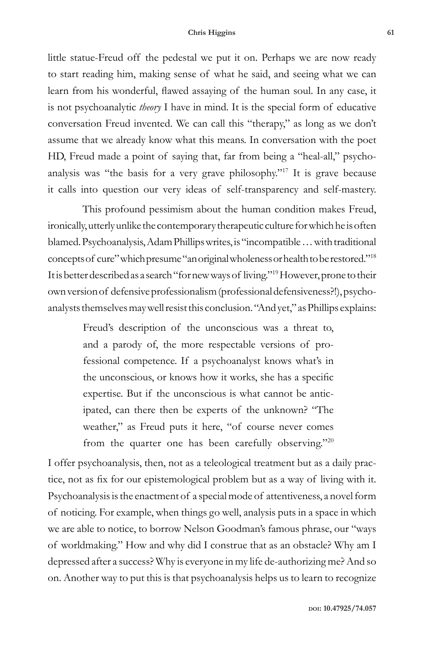## **Chris Higgins 61**

little statue-Freud off the pedestal we put it on. Perhaps we are now ready to start reading him, making sense of what he said, and seeing what we can learn from his wonderful, flawed assaying of the human soul. In any case, it is not psychoanalytic *theory* I have in mind. It is the special form of educative conversation Freud invented. We can call this "therapy," as long as we don't assume that we already know what this means. In conversation with the poet HD, Freud made a point of saying that, far from being a "heal-all," psychoanalysis was "the basis for a very grave philosophy."17 It is grave because it calls into question our very ideas of self-transparency and self-mastery.

This profound pessimism about the human condition makes Freud, ironically, utterly unlike the contemporary therapeutic culture for which he is often blamed. Psychoanalysis, Adam Phillips writes, is "incompatible … with traditional concepts of cure" which presume "an original wholeness or health to be restored."18 It is better described as a search "for new ways of living."19 However, prone to their own version of defensive professionalism (professional defensiveness?!), psychoanalysts themselves may well resist this conclusion. "And yet," as Phillips explains:

> Freud's description of the unconscious was a threat to, and a parody of, the more respectable versions of professional competence. If a psychoanalyst knows what's in the unconscious, or knows how it works, she has a specific expertise. But if the unconscious is what cannot be anticipated, can there then be experts of the unknown? "The weather," as Freud puts it here, "of course never comes from the quarter one has been carefully observing."<sup>20</sup>

I offer psychoanalysis, then, not as a teleological treatment but as a daily practice, not as fix for our epistemological problem but as a way of living with it. Psychoanalysis is the enactment of a special mode of attentiveness, a novel form of noticing. For example, when things go well, analysis puts in a space in which we are able to notice, to borrow Nelson Goodman's famous phrase, our "ways of worldmaking." How and why did I construe that as an obstacle? Why am I depressed after a success? Why is everyone in my life de-authorizing me? And so on. Another way to put this is that psychoanalysis helps us to learn to recognize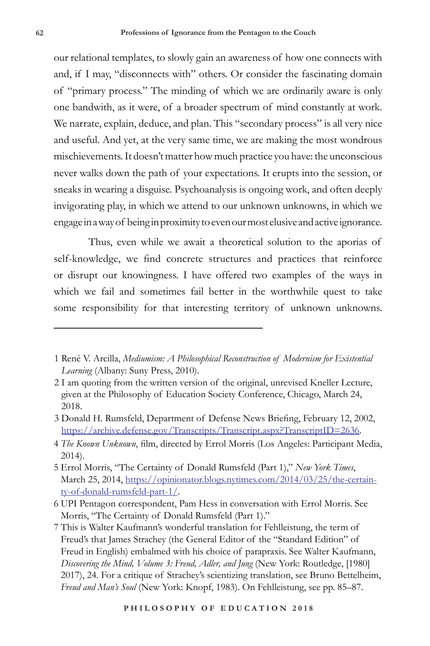our relational templates, to slowly gain an awareness of how one connects with and, if I may, "disconnects with" others. Or consider the fascinating domain of "primary process." The minding of which we are ordinarily aware is only one bandwith, as it were, of a broader spectrum of mind constantly at work. We narrate, explain, deduce, and plan. This "secondary process" is all very nice and useful. And yet, at the very same time, we are making the most wondrous mischievements. It doesn't matter how much practice you have: the unconscious never walks down the path of your expectations. It erupts into the session, or sneaks in wearing a disguise. Psychoanalysis is ongoing work, and often deeply invigorating play, in which we attend to our unknown unknowns, in which we engage in a way of being in proximity to even our most elusive and active ignorance.

Thus, even while we await a theoretical solution to the aporias of self-knowledge, we find concrete structures and practices that reinforce or disrupt our knowingness. I have offered two examples of the ways in which we fail and sometimes fail better in the worthwhile quest to take some responsibility for that interesting territory of unknown unknowns.

3 Donald H. Rumsfeld, Department of Defense News Briefing, February 12, 2002, https://archive.defense.gov/Transcripts/Transcript.aspx?TranscriptID=2636.

<sup>1</sup> René V. Arcilla, *Mediumism: A Philosophical Reconstruction of Modernism for Existential Learning* (Albany: Suny Press, 2010).

<sup>2</sup> I am quoting from the written version of the original, unrevised Kneller Lecture, given at the Philosophy of Education Society Conference, Chicago, March 24, 2018.

<sup>4</sup> *The Known Unknown*, film, directed by Errol Morris (Los Angeles: Participant Media, 2014).

<sup>5</sup> Errol Morris, "The Certainty of Donald Rumsfeld (Part 1)," *New York Times*, March 25, 2014, https://opinionator.blogs.nytimes.com/2014/03/25/the-certainty-of-donald-rumsfeld-part-1/.

<sup>6</sup> UPI Pentagon correspondent, Pam Hess in conversation with Errol Morris. See Morris, "The Certainty of Donald Rumsfeld (Part 1)."

<sup>7</sup> This is Walter Kaufmann's wonderful translation for Fehlleistung, the term of Freud's that James Strachey (the General Editor of the "Standard Edition" of Freud in English) embalmed with his choice of parapraxis. See Walter Kaufmann, *Discovering the Mind, Volume 3: Freud, Adler, and Jung* (New York: Routledge, [1980] 2017), 24. For a critique of Strachey's scientizing translation, see Bruno Bettelheim, *Freud and Man's Soul* (New York: Knopf, 1983). On Fehlleistung, see pp. 85–87.